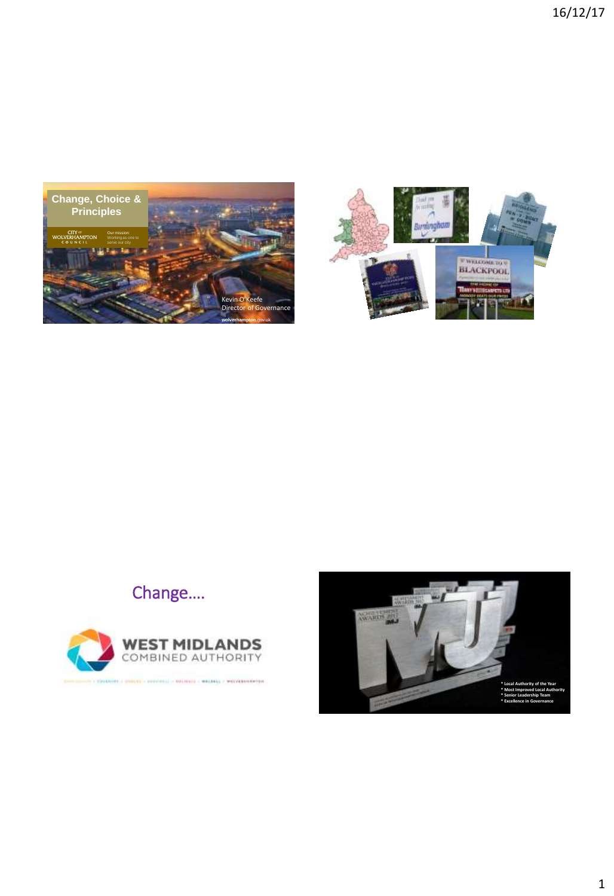



# Change….



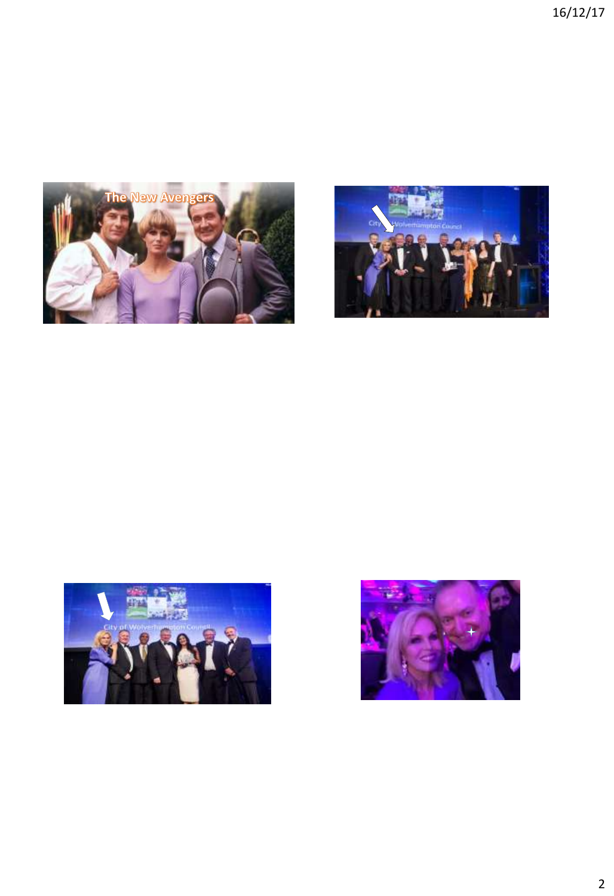





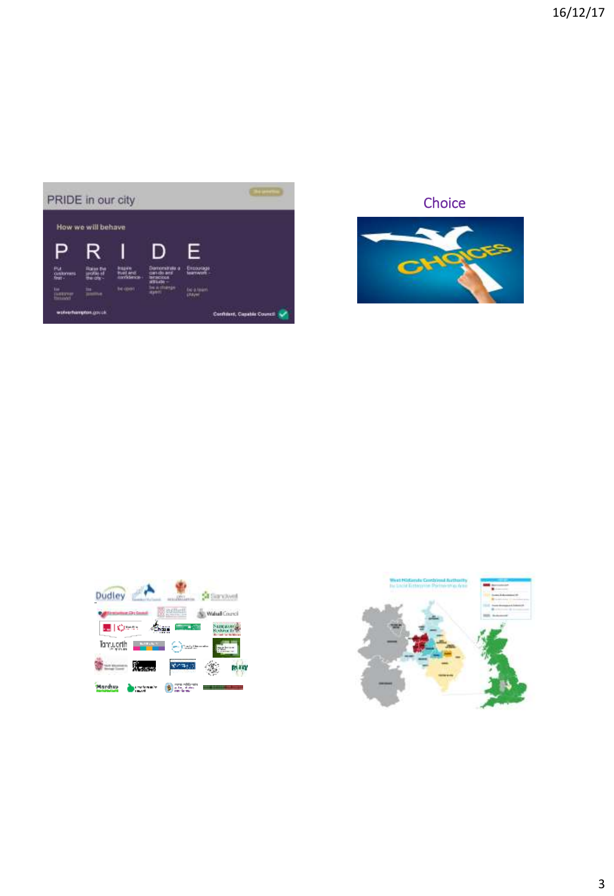

Choice





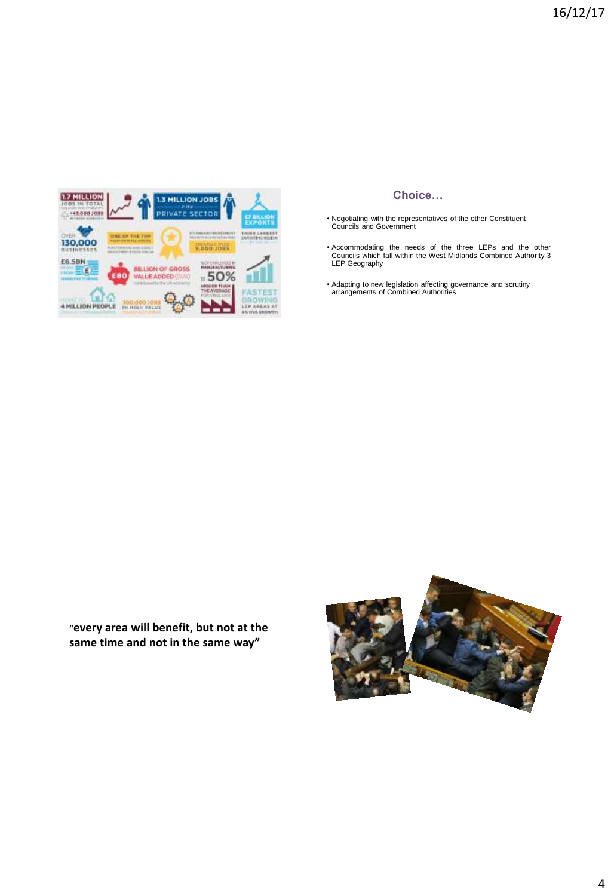

#### **Choice…**

- Negotiating with the representatives of the other Constituent Councils and Government
- Accommodating the needs of the three LEPs and the other Councils which fall within the West Midlands Combined Authority 3 LEP Geography
- Adapting to new legislation affecting governance and scrutiny arrangements of Combined Authorities

**"every area will benefit, but not at the same time and not in the same way"**

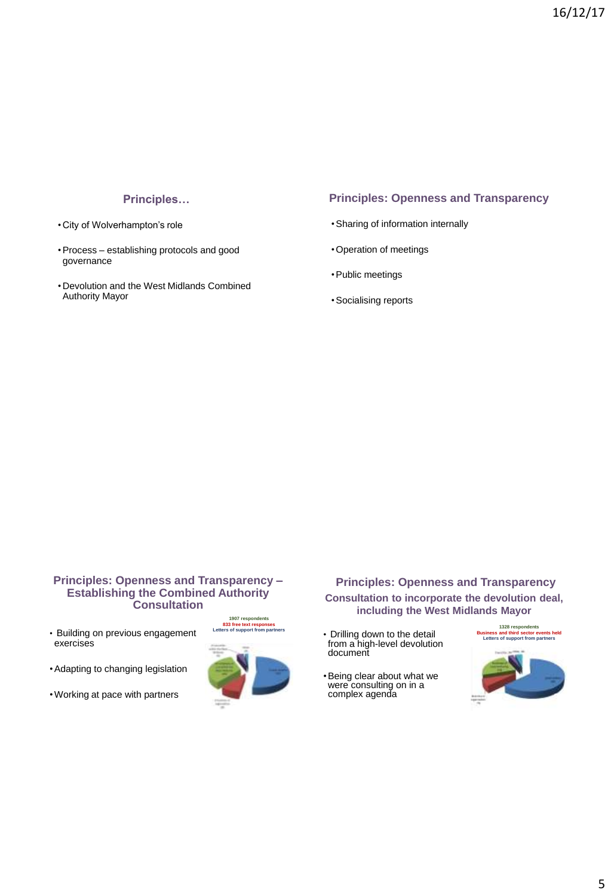### **Principles…**

- •City of Wolverhampton's role
- •Process establishing protocols and good governance
- •Devolution and the West Midlands Combined Authority Mayor

#### **Principles: Openness and Transparency**

- •Sharing of information internally
- •Operation of meetings
- •Public meetings
- •Socialising reports

#### **Principles: Openness and Transparency – Establishing the Combined Authority Consultation**

- Building on previous engagement exercises
- •Adapting to changing legislation
- •Working at pace with partners



**1907 resp** 

#### **Principles: Openness and Transparency Consultation to incorporate the devolution deal, including the West Midlands Mayor**

- Drilling down to the detail from a high-level devolution document
- •Being clear about what we were consulting on in a complex agenda

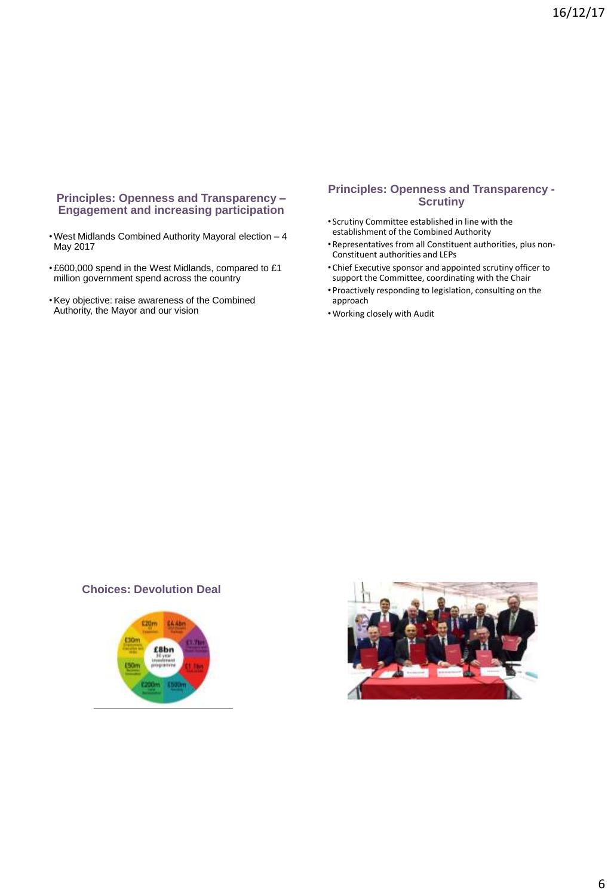#### **Principles: Openness and Transparency – Engagement and increasing participation**

- •West Midlands Combined Authority Mayoral election 4 May 2017
- £600,000 spend in the West Midlands, compared to £1 million government spend across the country
- •Key objective: raise awareness of the Combined Authority, the Mayor and our vision

#### **Principles: Openness and Transparency - Scrutiny**

- Scrutiny Committee established in line with the establishment of the Combined Authority
- Representatives from all Constituent authorities, plus non-Constituent authorities and LEPs
- Chief Executive sponsor and appointed scrutiny officer to support the Committee, coordinating with the Chair
- Proactively responding to legislation, consulting on the approach
- •Working closely with Audit

#### **Choices: Devolution Deal**



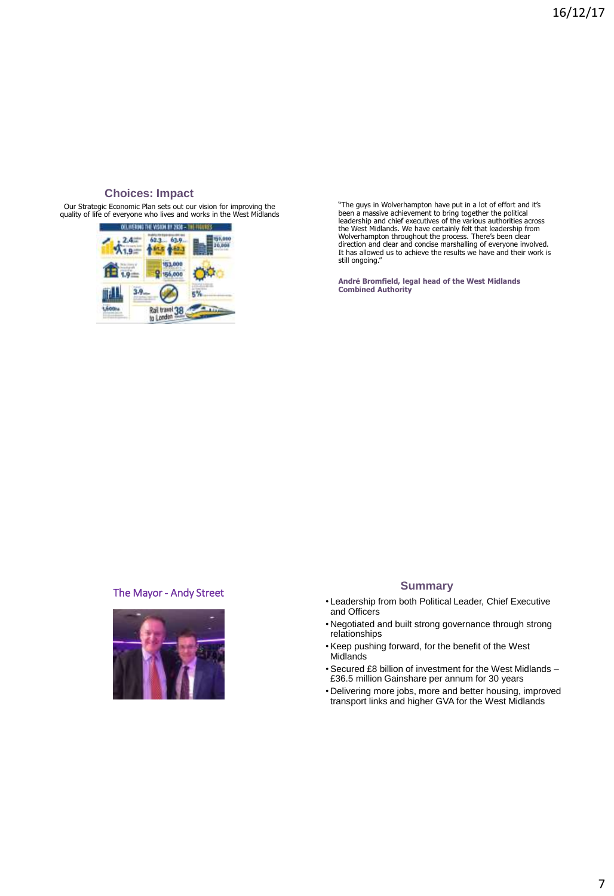#### **Choices: Impact**

Our Strategic Economic Plan sets out our vision for improving the quality of life of everyone who lives and works in the West Midlands



"The guys in Wolverhampton have put in a lot of effort and it's<br>been a massive achievement to bring together the political<br>leadership and chief executives of the various authorities across<br>the West Midlands. We have certa

**André Bromfield, legal head of the West Midlands Combined Authority**

## The Mayor - Andy Street **Summary**



- Leadership from both Political Leader, Chief Executive and Officers
- Negotiated and built strong governance through strong relationships
- •Keep pushing forward, for the benefit of the West **Midlands**
- •Secured £8 billion of investment for the West Midlands £36.5 million Gainshare per annum for 30 years
- Delivering more jobs, more and better housing, improved transport links and higher GVA for the West Midlands